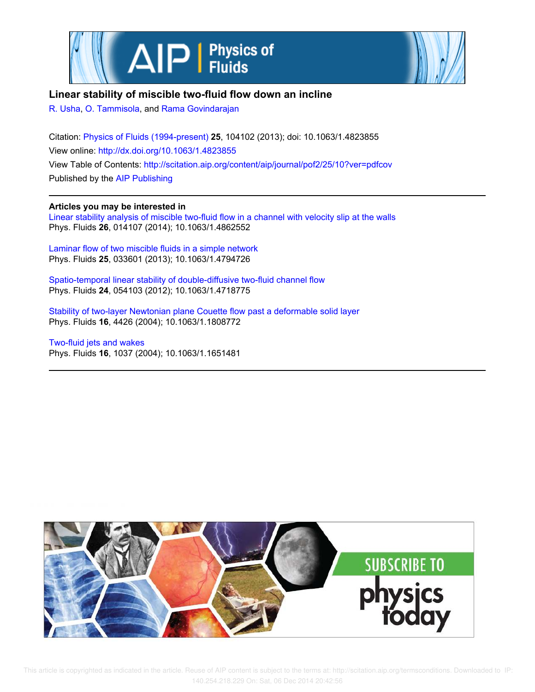



# **Linear stability of miscible two-fluid flow down an incline**

R. Usha, O. Tammisola, and Rama Govindarajan

Citation: Physics of Fluids (1994-present) **25**, 104102 (2013); doi: 10.1063/1.4823855 View online: http://dx.doi.org/10.1063/1.4823855 View Table of Contents: http://scitation.aip.org/content/aip/journal/pof2/25/10?ver=pdfcov Published by the AIP Publishing

## **Articles you may be interested in**

Linear stability analysis of miscible two-fluid flow in a channel with velocity slip at the walls Phys. Fluids **26**, 014107 (2014); 10.1063/1.4862552

Laminar flow of two miscible fluids in a simple network Phys. Fluids **25**, 033601 (2013); 10.1063/1.4794726

Spatio-temporal linear stability of double-diffusive two-fluid channel flow Phys. Fluids **24**, 054103 (2012); 10.1063/1.4718775

Stability of two-layer Newtonian plane Couette flow past a deformable solid layer Phys. Fluids **16**, 4426 (2004); 10.1063/1.1808772

Two-fluid jets and wakes Phys. Fluids **16**, 1037 (2004); 10.1063/1.1651481



 This article is copyrighted as indicated in the article. Reuse of AIP content is subject to the terms at: http://scitation.aip.org/termsconditions. Downloaded to IP: 140.254.218.229 On: Sat, 06 Dec 2014 20:42:56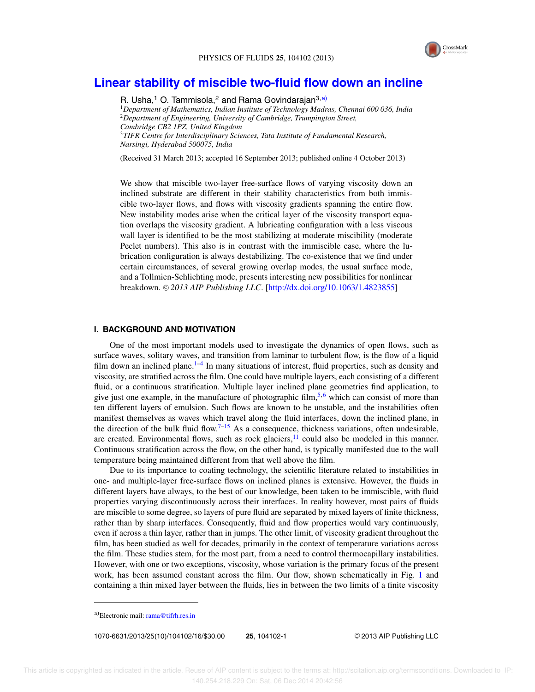

## **Linear stability of miscible two-fluid flow down an incline**

R. Usha,<sup>1</sup> O. Tammisola,<sup>2</sup> and Rama Govindarajan<sup>3,a)</sup> <sup>1</sup>*Department of Mathematics, Indian Institute of Technology Madras, Chennai 600 036, India* <sup>2</sup>*Department of Engineering, University of Cambridge, Trumpington Street, Cambridge CB2 1PZ, United Kingdom* <sup>3</sup>*TIFR Centre for Interdisciplinary Sciences, Tata Institute of Fundamental Research, Narsingi, Hyderabad 500075, India*

(Received 31 March 2013; accepted 16 September 2013; published online 4 October 2013)

We show that miscible two-layer free-surface flows of varying viscosity down an inclined substrate are different in their stability characteristics from both immiscible two-layer flows, and flows with viscosity gradients spanning the entire flow. New instability modes arise when the critical layer of the viscosity transport equation overlaps the viscosity gradient. A lubricating configuration with a less viscous wall layer is identified to be the most stabilizing at moderate miscibility (moderate Peclet numbers). This also is in contrast with the immiscible case, where the lubrication configuration is always destabilizing. The co-existence that we find under certain circumstances, of several growing overlap modes, the usual surface mode, and a Tollmien-Schlichting mode, presents interesting new possibilities for nonlinear breakdown. © 2013 AIP Publishing LLC. [http://dx.doi.org/10.1063/1.4823855]

#### **I. BACKGROUND AND MOTIVATION**

One of the most important models used to investigate the dynamics of open flows, such as surface waves, solitary waves, and transition from laminar to turbulent flow, is the flow of a liquid film down an inclined plane. $1-4$  In many situations of interest, fluid properties, such as density and viscosity, are stratified across the film. One could have multiple layers, each consisting of a different fluid, or a continuous stratification. Multiple layer inclined plane geometries find application, to give just one example, in the manufacture of photographic film,  $5.6$  which can consist of more than ten different layers of emulsion. Such flows are known to be unstable, and the instabilities often manifest themselves as waves which travel along the fluid interfaces, down the inclined plane, in the direction of the bulk fluid flow.<sup>7–15</sup> As a consequence, thickness variations, often undesirable, are created. Environmental flows, such as rock glaciers, $11$  could also be modeled in this manner. Continuous stratification across the flow, on the other hand, is typically manifested due to the wall temperature being maintained different from that well above the film.

Due to its importance to coating technology, the scientific literature related to instabilities in one- and multiple-layer free-surface flows on inclined planes is extensive. However, the fluids in different layers have always, to the best of our knowledge, been taken to be immiscible, with fluid properties varying discontinuously across their interfaces. In reality however, most pairs of fluids are miscible to some degree, so layers of pure fluid are separated by mixed layers of finite thickness, rather than by sharp interfaces. Consequently, fluid and flow properties would vary continuously, even if across a thin layer, rather than in jumps. The other limit, of viscosity gradient throughout the film, has been studied as well for decades, primarily in the context of temperature variations across the film. These studies stem, for the most part, from a need to control thermocapillary instabilities. However, with one or two exceptions, viscosity, whose variation is the primary focus of the present work, has been assumed constant across the film. Our flow, shown schematically in Fig. 1 and containing a thin mixed layer between the fluids, lies in between the two limits of a finite viscosity

1070-6631/2013/25(10)/104102/16/\$30.00 **25**, 104102-1 -

<sup>C</sup> 2013 AIP Publishing LLC

a)Electronic mail: rama@tifrh.res.in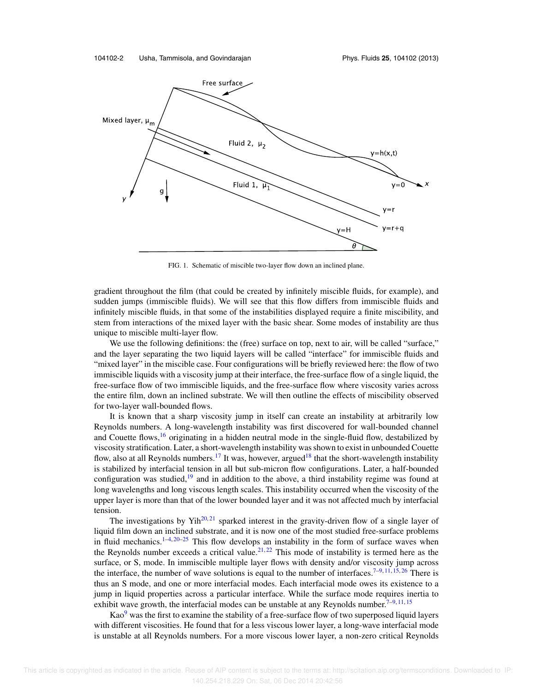

FIG. 1. Schematic of miscible two-layer flow down an inclined plane.

gradient throughout the film (that could be created by infinitely miscible fluids, for example), and sudden jumps (immiscible fluids). We will see that this flow differs from immiscible fluids and infinitely miscible fluids, in that some of the instabilities displayed require a finite miscibility, and stem from interactions of the mixed layer with the basic shear. Some modes of instability are thus unique to miscible multi-layer flow.

We use the following definitions: the (free) surface on top, next to air, will be called "surface," and the layer separating the two liquid layers will be called "interface" for immiscible fluids and "mixed layer" in the miscible case. Four configurations will be briefly reviewed here: the flow of two immiscible liquids with a viscosity jump at their interface, the free-surface flow of a single liquid, the free-surface flow of two immiscible liquids, and the free-surface flow where viscosity varies across the entire film, down an inclined substrate. We will then outline the effects of miscibility observed for two-layer wall-bounded flows.

It is known that a sharp viscosity jump in itself can create an instability at arbitrarily low Reynolds numbers. A long-wavelength instability was first discovered for wall-bounded channel and Couette flows,<sup>16</sup> originating in a hidden neutral mode in the single-fluid flow, destabilized by viscosity stratification. Later, a short-wavelength instability was shown to exist in unbounded Couette flow, also at all Reynolds numbers.<sup>17</sup> It was, however, argued<sup>18</sup> that the short-wavelength instability is stabilized by interfacial tension in all but sub-micron flow configurations. Later, a half-bounded configuration was studied, $19$  and in addition to the above, a third instability regime was found at long wavelengths and long viscous length scales. This instability occurred when the viscosity of the upper layer is more than that of the lower bounded layer and it was not affected much by interfacial tension.

The investigations by  $Yih^{20,21}$  sparked interest in the gravity-driven flow of a single layer of liquid film down an inclined substrate, and it is now one of the most studied free-surface problems in fluid mechanics.<sup>1-4, 20-25</sup> This flow develops an instability in the form of surface waves when the Reynolds number exceeds a critical value.<sup>21, 22</sup> This mode of instability is termed here as the surface, or S, mode. In immiscible multiple layer flows with density and/or viscosity jump across the interface, the number of wave solutions is equal to the number of interfaces.<sup>7–9, 11, 15, 26</sup> There is thus an S mode, and one or more interfacial modes. Each interfacial mode owes its existence to a jump in liquid properties across a particular interface. While the surface mode requires inertia to exhibit wave growth, the interfacial modes can be unstable at any Reynolds number.<sup>7-9, 11, 15</sup>

Kao<sup>9</sup> was the first to examine the stability of a free-surface flow of two superposed liquid layers with different viscosities. He found that for a less viscous lower layer, a long-wave interfacial mode is unstable at all Reynolds numbers. For a more viscous lower layer, a non-zero critical Reynolds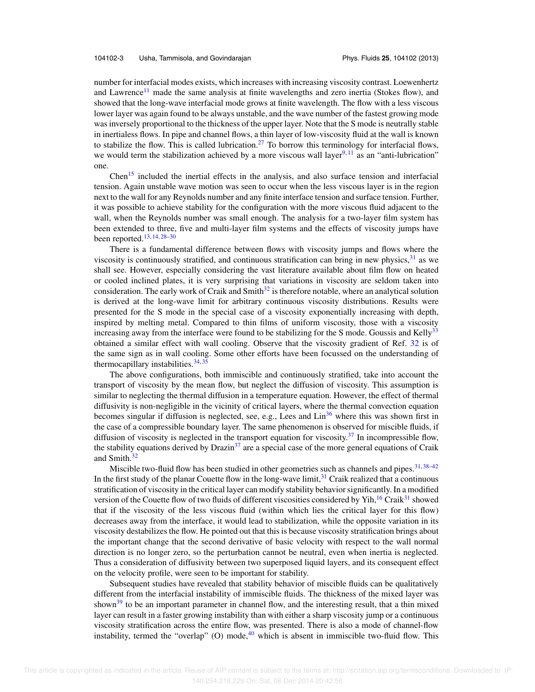number for interfacial modes exists, which increases with increasing viscosity contrast. Loewenhertz and Lawrence<sup>11</sup> made the same analysis at finite wavelengths and zero inertia (Stokes flow), and showed that the long-wave interfacial mode grows at finite wavelength. The flow with a less viscous lower layer was again found to be always unstable, and the wave number of the fastest growing mode was inversely proportional to the thickness of the upper layer. Note that the S mode is neutrally stable in inertialess flows. In pipe and channel flows, a thin layer of low-viscosity fluid at the wall is known to stabilize the flow. This is called lubrication.<sup>27</sup> To borrow this terminology for interfacial flows, we would term the stabilization achieved by a more viscous wall layer<sup>9, 11</sup> as an "anti-lubrication" one.

Chen<sup>15</sup> included the inertial effects in the analysis, and also surface tension and interfacial tension. Again unstable wave motion was seen to occur when the less viscous layer is in the region next to the wall for any Reynolds number and any finite interface tension and surface tension. Further, it was possible to achieve stability for the configuration with the more viscous fluid adjacent to the wall, when the Reynolds number was small enough. The analysis for a two-layer film system has been extended to three, five and multi-layer film systems and the effects of viscosity jumps have been reported.<sup>13, 14, 28–30</sup>

There is a fundamental difference between flows with viscosity jumps and flows where the viscosity is continuously stratified, and continuous stratification can bring in new physics, $31$  as we shall see. However, especially considering the vast literature available about film flow on heated or cooled inclined plates, it is very surprising that variations in viscosity are seldom taken into consideration. The early work of Craik and Smith $32$  is therefore notable, where an analytical solution is derived at the long-wave limit for arbitrary continuous viscosity distributions. Results were presented for the S mode in the special case of a viscosity exponentially increasing with depth, inspired by melting metal. Compared to thin films of uniform viscosity, those with a viscosity increasing away from the interface were found to be stabilizing for the S mode. Goussis and Kelly<sup>33</sup> obtained a similar effect with wall cooling. Observe that the viscosity gradient of Ref. 32 is of the same sign as in wall cooling. Some other efforts have been focussed on the understanding of thermocapillary instabilities.<sup>34,35</sup>

The above configurations, both immiscible and continuously stratified, take into account the transport of viscosity by the mean flow, but neglect the diffusion of viscosity. This assumption is similar to neglecting the thermal diffusion in a temperature equation. However, the effect of thermal diffusivity is non-negligible in the vicinity of critical layers, where the thermal convection equation becomes singular if diffusion is neglected, see, e.g., Lees and  $\text{Lin}^{36}$  where this was shown first in the case of a compressible boundary layer. The same phenomenon is observed for miscible fluids, if diffusion of viscosity is neglected in the transport equation for viscosity.<sup>37</sup> In incompressible flow, the stability equations derived by  $Drazin<sup>37</sup>$  are a special case of the more general equations of Craik and Smith.<sup>32</sup>

Miscible two-fluid flow has been studied in other geometries such as channels and pipes. $31,38-42$ In the first study of the planar Couette flow in the long-wave limit, $31$  Craik realized that a continuous stratification of viscosity in the critical layer can modify stability behavior significantly. In a modified version of the Couette flow of two fluids of different viscosities considered by Yih,<sup>16</sup> Craik<sup>31</sup> showed that if the viscosity of the less viscous fluid (within which lies the critical layer for this flow) decreases away from the interface, it would lead to stabilization, while the opposite variation in its viscosity destabilizes the flow. He pointed out that this is because viscosity stratification brings about the important change that the second derivative of basic velocity with respect to the wall normal direction is no longer zero, so the perturbation cannot be neutral, even when inertia is neglected. Thus a consideration of diffusivity between two superposed liquid layers, and its consequent effect on the velocity profile, were seen to be important for stability.

Subsequent studies have revealed that stability behavior of miscible fluids can be qualitatively different from the interfacial instability of immiscible fluids. The thickness of the mixed layer was shown<sup>39</sup> to be an important parameter in channel flow, and the interesting result, that a thin mixed layer can result in a faster growing instability than with either a sharp viscosity jump or a continuous viscosity stratification across the entire flow, was presented. There is also a mode of channel-flow instability, termed the "overlap" (O) mode, $40$  which is absent in immiscible two-fluid flow. This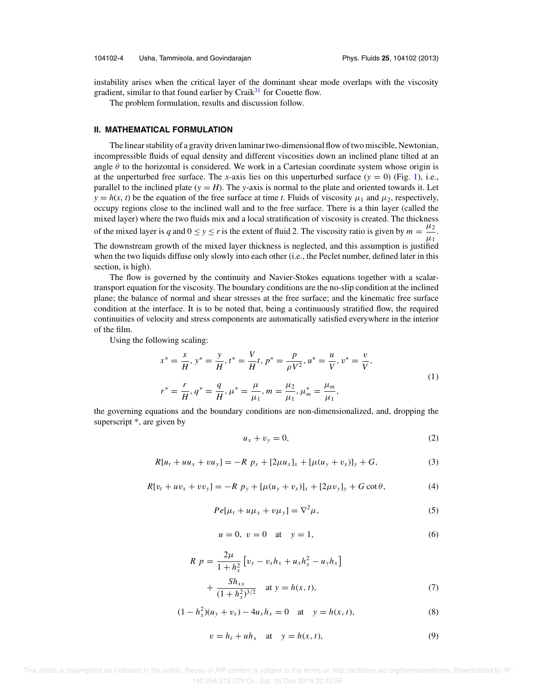instability arises when the critical layer of the dominant shear mode overlaps with the viscosity gradient, similar to that found earlier by  $Craik<sup>31</sup>$  for Couette flow.

The problem formulation, results and discussion follow.

### **II. MATHEMATICAL FORMULATION**

The linear stability of a gravity driven laminar two-dimensional flow of two miscible, Newtonian, incompressible fluids of equal density and different viscosities down an inclined plane tilted at an angle  $\theta$  to the horizontal is considered. We work in a Cartesian coordinate system whose origin is at the unperturbed free surface. The *x*-axis lies on this unperturbed surface  $(y = 0)$  (Fig. 1), i.e., parallel to the inclined plate  $(y = H)$ . The *y*-axis is normal to the plate and oriented towards it. Let  $y = h(x, t)$  be the equation of the free surface at time *t*. Fluids of viscosity  $\mu_1$  and  $\mu_2$ , respectively, occupy regions close to the inclined wall and to the free surface. There is a thin layer (called the mixed layer) where the two fluids mix and a local stratification of viscosity is created. The thickness of the mixed layer is *q* and  $0 \le y \le r$  is the extent of fluid 2. The viscosity ratio is given by  $m = \frac{\mu_2}{\mu_1}$  $\frac{\mu_2}{\mu_1}$ .

The downstream growth of the mixed layer thickness is neglected, and this assumption is justified when the two liquids diffuse only slowly into each other (i.e., the Peclet number, defined later in this section, is high).

The flow is governed by the continuity and Navier-Stokes equations together with a scalartransport equation for the viscosity. The boundary conditions are the no-slip condition at the inclined plane; the balance of normal and shear stresses at the free surface; and the kinematic free surface condition at the interface. It is to be noted that, being a continuously stratified flow, the required continuities of velocity and stress components are automatically satisfied everywhere in the interior of the film.

Using the following scaling:

$$
x^* = \frac{x}{H}, y^* = \frac{y}{H}, t^* = \frac{V}{H}t, p^* = \frac{p}{\rho V^2}, u^* = \frac{u}{V}, v^* = \frac{v}{V},
$$
  

$$
r^* = \frac{r}{H}, q^* = \frac{q}{H}, u^* = \frac{\mu}{\mu_1}, m = \frac{\mu_2}{\mu_1}, \mu_m^* = \frac{\mu_m}{\mu_1},
$$
 (1)

the governing equations and the boundary conditions are non-dimensionalized, and, dropping the superscript \*, are given by

$$
u_x + v_y = 0,\t\t(2)
$$

$$
R[u_t + uu_x + vu_y] = -R p_x + [2\mu u_x]_x + [\mu(u_y + v_x)]_y + G,\tag{3}
$$

$$
R[v_t + uv_x + vv_y] = -R p_y + [\mu(u_y + v_x)]_x + [2\mu v_y]_y + G \cot \theta, \tag{4}
$$

$$
Pe[\mu_t + u\mu_x + v\mu_y] = \nabla^2 \mu,\tag{5}
$$

$$
u = 0, v = 0
$$
 at  $y = 1,$  (6)

$$
R \quad p = \frac{2\mu}{1 + h_x^2} \left[ v_y - v_x h_x + u_x h_x^2 - u_y h_x \right] + \frac{S h_{xx}}{(1 + h_x^2)^{3/2}} \quad \text{at } y = h(x, t), \tag{7}
$$

$$
(1 - h_x^2)(u_y + v_x) - 4u_x h_x = 0 \quad \text{at} \quad y = h(x, t), \tag{8}
$$

$$
v = h_t + uh_x \quad \text{at} \quad y = h(x, t), \tag{9}
$$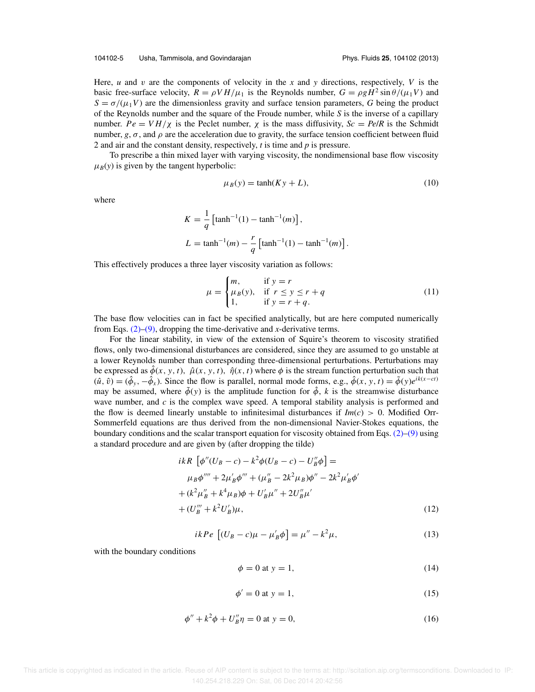Here, *u* and v are the components of velocity in the *x* and *y* directions, respectively, *V* is the basic free-surface velocity,  $R = \rho V H / \mu_1$  is the Reynolds number,  $G = \rho g H^2 \sin \theta / (\mu_1 V)$  and  $S = \sigma/(\mu_1 V)$  are the dimensionless gravity and surface tension parameters, *G* being the product of the Reynolds number and the square of the Froude number, while *S* is the inverse of a capillary number.  $Pe = VH/\chi$  is the Peclet number,  $\chi$  is the mass diffusivity,  $Sc = Pe/R$  is the Schmidt number,  $g, \sigma$ , and  $\rho$  are the acceleration due to gravity, the surface tension coefficient between fluid 2 and air and the constant density, respectively, *t* is time and *p* is pressure.

To prescribe a thin mixed layer with varying viscosity, the nondimensional base flow viscosity  $\mu_B(y)$  is given by the tangent hyperbolic:

$$
\mu_B(y) = \tanh(Ky + L),\tag{10}
$$

where

$$
K = \frac{1}{q} \left[ \tanh^{-1}(1) - \tanh^{-1}(m) \right],
$$
  
\n
$$
L = \tanh^{-1}(m) - \frac{r}{q} \left[ \tanh^{-1}(1) - \tanh^{-1}(m) \right].
$$

This effectively produces a three layer viscosity variation as follows:

$$
\mu = \begin{cases}\nm, & \text{if } y = r \\
\mu_B(y), & \text{if } r \le y \le r + q \\
1, & \text{if } y = r + q.\n\end{cases}
$$
\n(11)

The base flow velocities can in fact be specified analytically, but are here computed numerically from Eqs. (2)–(9), dropping the time-derivative and *x*-derivative terms.

For the linear stability, in view of the extension of Squire's theorem to viscosity stratified flows, only two-dimensional disturbances are considered, since they are assumed to go unstable at a lower Reynolds number than corresponding three-dimensional perturbations. Perturbations may be expressed as  $\hat{\phi}(x, y, t)$ ,  $\hat{\mu}(x, y, t)$ ,  $\hat{\eta}(x, t)$  where  $\phi$  is the stream function perturbation such that  $(\hat{u}, \hat{v}) = (\hat{\phi}_y, -\hat{\phi}_x)$ . Since the flow is parallel, normal mode forms, e.g.,  $\hat{\phi}(x, y, t) = \tilde{\phi}(y)e^{ik(x-ct)}$ may be assumed, where  $\phi(y)$  is the amplitude function for  $\hat{\phi}$ , *k* is the streamwise disturbance wave number, and  $c$  is the complex wave speed. A temporal stability analysis is performed and the flow is deemed linearly unstable to infinitesimal disturbances if  $Im(c) > 0$ . Modified Orr-Sommerfeld equations are thus derived from the non-dimensional Navier-Stokes equations, the boundary conditions and the scalar transport equation for viscosity obtained from Eqs.  $(2)$ – $(9)$  using a standard procedure and are given by (after dropping the tilde)

$$
ikR \left[ \phi''(U_B - c) - k^2 \phi (U_B - c) - U''_B \phi \right] =
$$
  
\n
$$
\mu_B \phi'''' + 2\mu'_B \phi''' + (\mu''_B - 2k^2 \mu_B) \phi'' - 2k^2 \mu'_B \phi'
$$
  
\n
$$
+ (k^2 \mu''_B + k^4 \mu_B) \phi + U'_B \mu'' + 2U''_B \mu'
$$
  
\n
$$
+ (U'''_B + k^2 U'_B) \mu,
$$
\n(12)

$$
ikPe\left[(U_B - c)\mu - \mu'_B \phi\right] = \mu'' - k^2 \mu,\tag{13}
$$

with the boundary conditions

$$
\phi = 0 \text{ at } y = 1,\tag{14}
$$

$$
\phi' = 0 \text{ at } y = 1,\tag{15}
$$

$$
\phi'' + k^2 \phi + U''_B \eta = 0 \text{ at } y = 0,
$$
\n(16)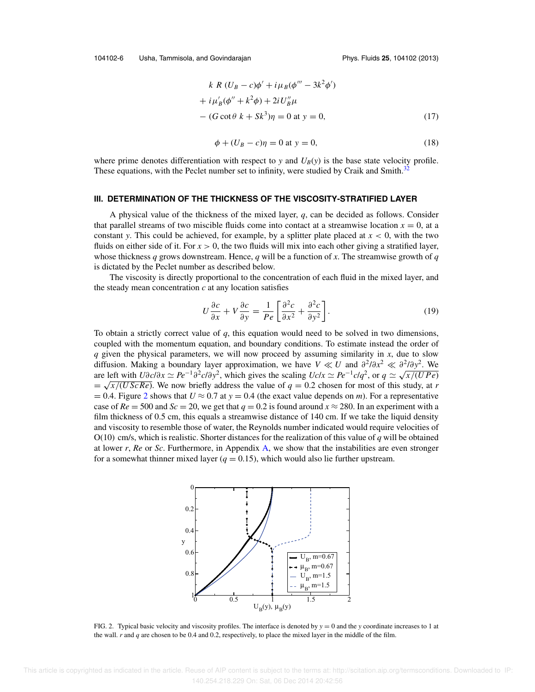$$
k R (U_B - c)\phi' + i\mu_B(\phi''' - 3k^2\phi')
$$
  
+ 
$$
i\mu'_B(\phi'' + k^2\phi) + 2iU''_B\mu
$$
  
- 
$$
(G \cot\theta \ k + Sk^3)\eta = 0 \text{ at } y = 0,
$$
 (17)

$$
\phi + (U_B - c)\eta = 0 \text{ at } y = 0,
$$
\n(18)

where prime denotes differentiation with respect to *y* and  $U_B(y)$  is the base state velocity profile. These equations, with the Peclet number set to infinity, were studied by Craik and Smith.<sup>32</sup>

#### **III. DETERMINATION OF THE THICKNESS OF THE VISCOSITY-STRATIFIED LAYER**

A physical value of the thickness of the mixed layer, *q*, can be decided as follows. Consider that parallel streams of two miscible fluids come into contact at a streamwise location  $x = 0$ , at a constant *y*. This could be achieved, for example, by a splitter plate placed at  $x < 0$ , with the two fluids on either side of it. For  $x > 0$ , the two fluids will mix into each other giving a stratified layer, whose thickness *q* grows downstream. Hence, *q* will be a function of *x*. The streamwise growth of *q* is dictated by the Peclet number as described below.

The viscosity is directly proportional to the concentration of each fluid in the mixed layer, and the steady mean concentration *c* at any location satisfies

$$
U\frac{\partial c}{\partial x} + V\frac{\partial c}{\partial y} = \frac{1}{Pe} \left[ \frac{\partial^2 c}{\partial x^2} + \frac{\partial^2 c}{\partial y^2} \right].
$$
 (19)

To obtain a strictly correct value of *q*, this equation would need to be solved in two dimensions, coupled with the momentum equation, and boundary conditions. To estimate instead the order of *q* given the physical parameters, we will now proceed by assuming similarity in *x*, due to slow diffusion. Making a boundary layer approximation, we have  $V \ll U$  and  $\partial^2/\partial x^2 \ll \partial^2/\partial y^2$ . We are left with  $U\partial c/\partial x \simeq Pe^{-1}\partial^2 c/\partial y^2$ , which gives the scaling  $Uc/x \simeq Pe^{-1}c/q^2$ , or  $q \simeq \sqrt{x/(UPe)}$  $=\sqrt{x/(UScRe)}$ . We now briefly address the value of  $q = 0.2$  chosen for most of this study, at *r*  $= 0.4$ . Figure 2 shows that  $U \approx 0.7$  at  $y = 0.4$  (the exact value depends on *m*). For a representative case of  $Re = 500$  and  $Sc = 20$ , we get that  $q = 0.2$  is found around  $x \approx 280$ . In an experiment with a film thickness of 0.5 cm, this equals a streamwise distance of 140 cm. If we take the liquid density and viscosity to resemble those of water, the Reynolds number indicated would require velocities of O(10) cm/s, which is realistic. Shorter distances for the realization of this value of *q* will be obtained at lower *r*, *Re* or *Sc*. Furthermore, in Appendix A, we show that the instabilities are even stronger for a somewhat thinner mixed layer  $(q = 0.15)$ , which would also lie further upstream.



FIG. 2. Typical basic velocity and viscosity profiles. The interface is denoted by *y* = 0 and the *y* coordinate increases to 1 at the wall. *r* and *q* are chosen to be 0.4 and 0.2, respectively, to place the mixed layer in the middle of the film.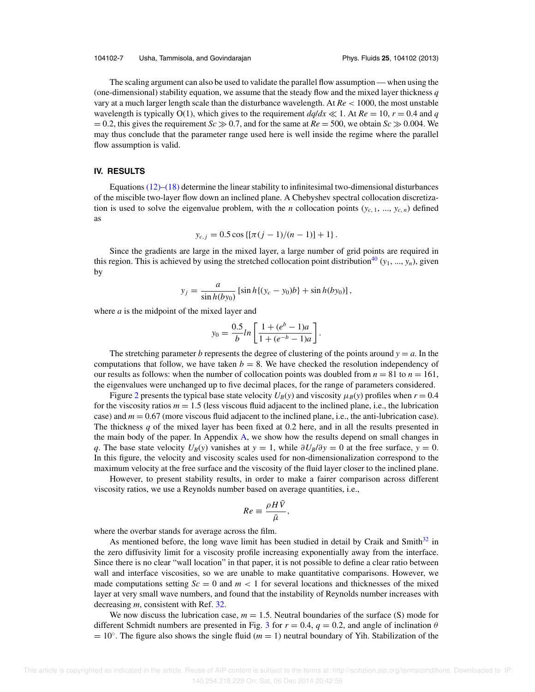The scaling argument can also be used to validate the parallel flow assumption — when using the (one-dimensional) stability equation, we assume that the steady flow and the mixed layer thickness *q* vary at a much larger length scale than the disturbance wavelength. At *Re* < 1000, the most unstable wavelength is typically O(1), which gives to the requirement  $dq/dx \ll 1$ . At  $Re = 10$ ,  $r = 0.4$  and *q*  $= 0.2$ , this gives the requirement *Sc*  $\gg 0.7$ , and for the same at *Re* = 500, we obtain *Sc*  $\gg 0.004$ . We may thus conclude that the parameter range used here is well inside the regime where the parallel flow assumption is valid.

#### **IV. RESULTS**

Equations (12)–(18) determine the linear stability to infinitesimal two-dimensional disturbances of the miscible two-layer flow down an inclined plane. A Chebyshev spectral collocation discretization is used to solve the eigenvalue problem, with the *n* collocation points  $(y_c, 1, ..., y_c, n)$  defined as

$$
y_{c,j} = 0.5 \cos \{[\pi(j-1)/(n-1)] + 1\}.
$$

Since the gradients are large in the mixed layer, a large number of grid points are required in this region. This is achieved by using the stretched collocation point distribution<sup>40</sup> ( $y_1, ..., y_n$ ), given by

$$
y_j = \frac{a}{\sin h(by_0)} [\sin h((y_c - y_0)b) + \sin h(by_0)],
$$

where *a* is the midpoint of the mixed layer and

$$
y_0 = \frac{0.5}{b} ln \left[ \frac{1 + (e^b - 1)a}{1 + (e^{-b} - 1)a} \right].
$$

The stretching parameter *b* represents the degree of clustering of the points around  $y = a$ . In the computations that follow, we have taken  $b = 8$ . We have checked the resolution independency of our results as follows: when the number of collocation points was doubled from  $n = 81$  to  $n = 161$ , the eigenvalues were unchanged up to five decimal places, for the range of parameters considered.

Figure 2 presents the typical base state velocity  $U_B(y)$  and viscosity  $\mu_B(y)$  profiles when  $r = 0.4$ for the viscosity ratios *m* = 1.5 (less viscous fluid adjacent to the inclined plane, i.e., the lubrication case) and *m* = 0.67 (more viscous fluid adjacent to the inclined plane, i.e., the anti-lubrication case). The thickness *q* of the mixed layer has been fixed at 0.2 here, and in all the results presented in the main body of the paper. In Appendix A, we show how the results depend on small changes in *q*. The base state velocity  $U_B(y)$  vanishes at  $y = 1$ , while  $\partial U_B/\partial y = 0$  at the free surface,  $y = 0$ . In this figure, the velocity and viscosity scales used for non-dimensionalization correspond to the maximum velocity at the free surface and the viscosity of the fluid layer closer to the inclined plane.

However, to present stability results, in order to make a fairer comparison across different viscosity ratios, we use a Reynolds number based on average quantities, i.e.,

$$
Re \equiv \frac{\rho H \bar{V}}{\bar{\mu}},
$$

where the overbar stands for average across the film.

As mentioned before, the long wave limit has been studied in detail by Craik and Smith $32$  in the zero diffusivity limit for a viscosity profile increasing exponentially away from the interface. Since there is no clear "wall location" in that paper, it is not possible to define a clear ratio between wall and interface viscosities, so we are unable to make quantitative comparisons. However, we made computations setting  $Sc = 0$  and  $m < 1$  for several locations and thicknesses of the mixed layer at very small wave numbers, and found that the instability of Reynolds number increases with decreasing *m*, consistent with Ref. 32.

We now discuss the lubrication case,  $m = 1.5$ . Neutral boundaries of the surface (S) mode for different Schmidt numbers are presented in Fig. 3 for  $r = 0.4$ ,  $q = 0.2$ , and angle of inclination  $\theta$  $= 10°$ . The figure also shows the single fluid ( $m = 1$ ) neutral boundary of Yih. Stabilization of the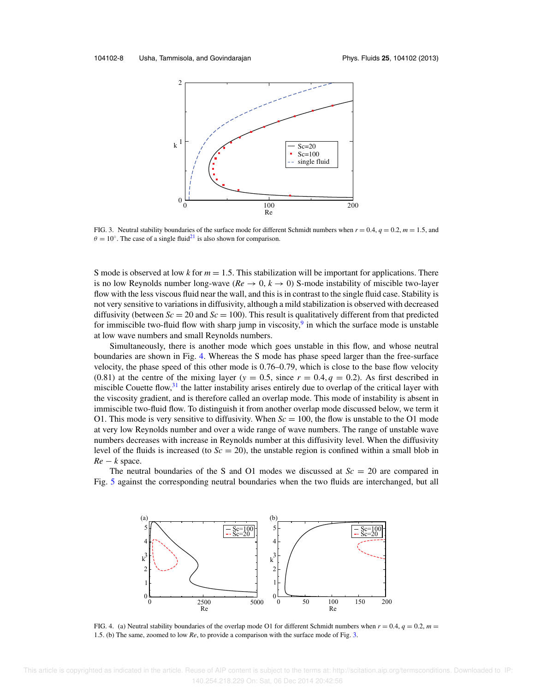

FIG. 3. Neutral stability boundaries of the surface mode for different Schmidt numbers when  $r = 0.4$ ,  $q = 0.2$ ,  $m = 1.5$ , and  $\theta = 10^\circ$ . The case of a single fluid<sup>21</sup> is also shown for comparison.

S mode is observed at low *k* for *m* = 1.5. This stabilization will be important for applications. There is no low Reynolds number long-wave ( $Re \rightarrow 0, k \rightarrow 0$ ) S-mode instability of miscible two-layer flow with the less viscous fluid near the wall, and this is in contrast to the single fluid case. Stability is not very sensitive to variations in diffusivity, although a mild stabilization is observed with decreased diffusivity (between  $Sc = 20$  and  $Sc = 100$ ). This result is qualitatively different from that predicted for immiscible two-fluid flow with sharp jump in viscosity, $9$  in which the surface mode is unstable at low wave numbers and small Reynolds numbers.

Simultaneously, there is another mode which goes unstable in this flow, and whose neutral boundaries are shown in Fig. 4. Whereas the S mode has phase speed larger than the free-surface velocity, the phase speed of this other mode is 0.76–0.79, which is close to the base flow velocity (0.81) at the centre of the mixing layer ( $y = 0.5$ , since  $r = 0.4$ ,  $q = 0.2$ ). As first described in miscible Couette flow, $3<sup>1</sup>$  the latter instability arises entirely due to overlap of the critical layer with the viscosity gradient, and is therefore called an overlap mode. This mode of instability is absent in immiscible two-fluid flow. To distinguish it from another overlap mode discussed below, we term it O1. This mode is very sensitive to diffusivity. When  $Sc = 100$ , the flow is unstable to the O1 mode at very low Reynolds number and over a wide range of wave numbers. The range of unstable wave numbers decreases with increase in Reynolds number at this diffusivity level. When the diffusivity level of the fluids is increased (to  $Sc = 20$ ), the unstable region is confined within a small blob in  $Re - k$  space.

The neutral boundaries of the S and O1 modes we discussed at  $Sc = 20$  are compared in Fig. 5 against the corresponding neutral boundaries when the two fluids are interchanged, but all



FIG. 4. (a) Neutral stability boundaries of the overlap mode O1 for different Schmidt numbers when  $r = 0.4$ ,  $q = 0.2$ ,  $m =$ 1.5. (b) The same, zoomed to low *Re*, to provide a comparison with the surface mode of Fig. 3.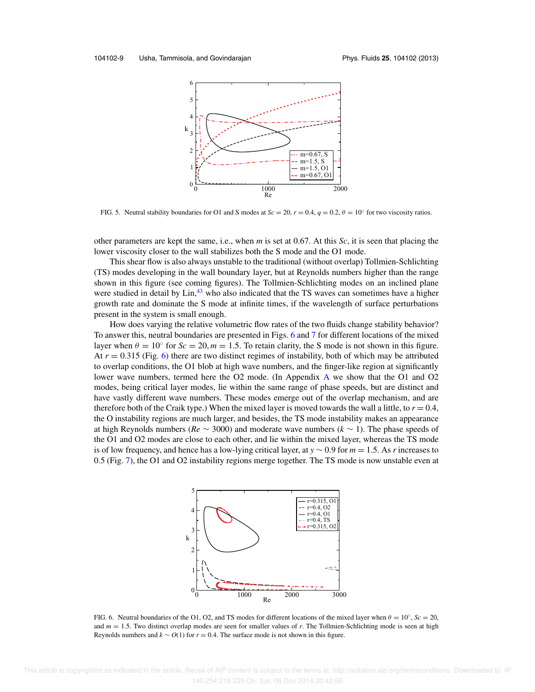

FIG. 5. Neutral stability boundaries for O1 and S modes at  $Sc = 20$ ,  $r = 0.4$ ,  $q = 0.2$ ,  $\theta = 10^\circ$  for two viscosity ratios.

other parameters are kept the same, i.e., when *m* is set at 0.67. At this *Sc*, it is seen that placing the lower viscosity closer to the wall stabilizes both the S mode and the O1 mode.

This shear flow is also always unstable to the traditional (without overlap) Tollmien-Schlichting (TS) modes developing in the wall boundary layer, but at Reynolds numbers higher than the range shown in this figure (see coming figures). The Tollmien-Schlichting modes on an inclined plane were studied in detail by  $\text{Lin},^{43}$  who also indicated that the TS waves can sometimes have a higher growth rate and dominate the S mode at infinite times, if the wavelength of surface perturbations present in the system is small enough.

How does varying the relative volumetric flow rates of the two fluids change stability behavior? To answer this, neutral boundaries are presented in Figs. 6 and 7 for different locations of the mixed layer when  $\theta = 10^{\circ}$  for  $Sc = 20, m = 1.5$ . To retain clarity, the S mode is not shown in this figure. At  $r = 0.315$  (Fig. 6) there are two distinct regimes of instability, both of which may be attributed to overlap conditions, the O1 blob at high wave numbers, and the finger-like region at significantly lower wave numbers, termed here the O2 mode. (In Appendix A we show that the O1 and O2 modes, being critical layer modes, lie within the same range of phase speeds, but are distinct and have vastly different wave numbers. These modes emerge out of the overlap mechanism, and are therefore both of the Craik type.) When the mixed layer is moved towards the wall a little, to  $r = 0.4$ , the O instability regions are much larger, and besides, the TS mode instability makes an appearance at high Reynolds numbers (*Re* ∼ 3000) and moderate wave numbers (*k* ∼ 1). The phase speeds of the O1 and O2 modes are close to each other, and lie within the mixed layer, whereas the TS mode is of low frequency, and hence has a low-lying critical layer, at  $y \sim 0.9$  for  $m = 1.5$ . As *r* increases to 0.5 (Fig. 7), the O1 and O2 instability regions merge together. The TS mode is now unstable even at



FIG. 6. Neutral boundaries of the O1, O2, and TS modes for different locations of the mixed layer when  $\theta = 10^{\circ}$ ,  $Sc = 20$ , and  $m = 1.5$ . Two distinct overlap modes are seen for smaller values of  $r$ . The Tollmien-Schlichting mode is seen at high Reynolds numbers and  $k \sim O(1)$  for  $r = 0.4$ . The surface mode is not shown in this figure.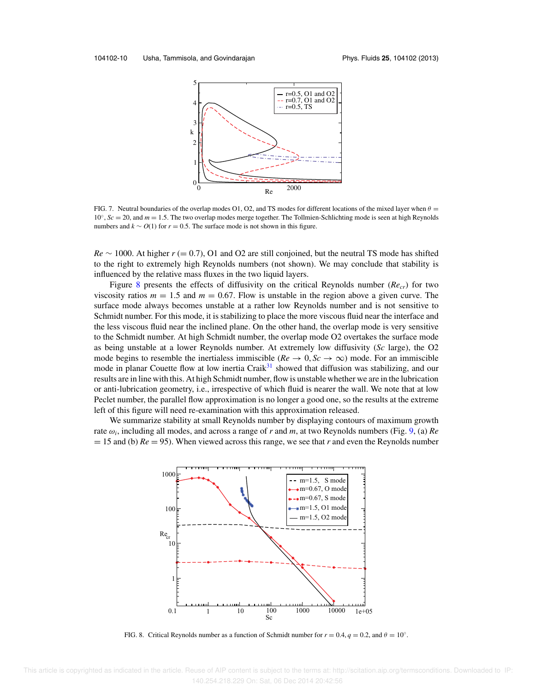

FIG. 7. Neutral boundaries of the overlap modes O1, O2, and TS modes for different locations of the mixed layer when  $\theta =$ 10◦ , *Sc* = 20, and *m* = 1.5. The two overlap modes merge together. The Tollmien-Schlichting mode is seen at high Reynolds numbers and  $k \sim O(1)$  for  $r = 0.5$ . The surface mode is not shown in this figure.

*Re* ∼ 1000. At higher *r* (= 0.7), O1 and O2 are still conjoined, but the neutral TS mode has shifted to the right to extremely high Reynolds numbers (not shown). We may conclude that stability is influenced by the relative mass fluxes in the two liquid layers.

Figure 8 presents the effects of diffusivity on the critical Reynolds number (*Recr*) for two viscosity ratios  $m = 1.5$  and  $m = 0.67$ . Flow is unstable in the region above a given curve. The surface mode always becomes unstable at a rather low Reynolds number and is not sensitive to Schmidt number. For this mode, it is stabilizing to place the more viscous fluid near the interface and the less viscous fluid near the inclined plane. On the other hand, the overlap mode is very sensitive to the Schmidt number. At high Schmidt number, the overlap mode O2 overtakes the surface mode as being unstable at a lower Reynolds number. At extremely low diffusivity (*Sc* large), the O2 mode begins to resemble the inertialess immiscible ( $Re \rightarrow 0$ ,  $Sc \rightarrow \infty$ ) mode. For an immiscible mode in planar Couette flow at low inertia Craik $31$  showed that diffusion was stabilizing, and our results are in line with this. At high Schmidt number, flow is unstable whether we are in the lubrication or anti-lubrication geometry, i.e., irrespective of which fluid is nearer the wall. We note that at low Peclet number, the parallel flow approximation is no longer a good one, so the results at the extreme left of this figure will need re-examination with this approximation released.

We summarize stability at small Reynolds number by displaying contours of maximum growth rate ω*<sup>i</sup>* , including all modes, and across a range of *r* and *m*, at two Reynolds numbers (Fig. 9, (a) *Re*  $= 15$  and (b)  $Re = 95$ ). When viewed across this range, we see that *r* and even the Reynolds number



FIG. 8. Critical Reynolds number as a function of Schmidt number for  $r = 0.4$ ,  $q = 0.2$ , and  $\theta = 10°$ .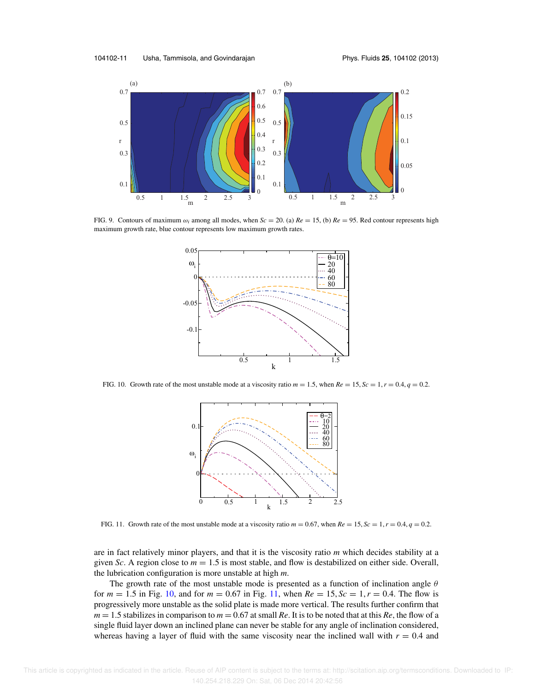

FIG. 9. Contours of maximum  $\omega_i$  among all modes, when  $Sc = 20$ . (a)  $Re = 15$ , (b)  $Re = 95$ . Red contour represents high maximum growth rate, blue contour represents low maximum growth rates.



FIG. 10. Growth rate of the most unstable mode at a viscosity ratio  $m = 1.5$ , when  $Re = 15$ ,  $Sc = 1$ ,  $r = 0.4$ ,  $q = 0.2$ .



FIG. 11. Growth rate of the most unstable mode at a viscosity ratio  $m = 0.67$ , when  $Re = 15$ ,  $Sc = 1$ ,  $r = 0.4$ ,  $q = 0.2$ .

are in fact relatively minor players, and that it is the viscosity ratio *m* which decides stability at a given *Sc*. A region close to  $m = 1.5$  is most stable, and flow is destabilized on either side. Overall, the lubrication configuration is more unstable at high *m*.

The growth rate of the most unstable mode is presented as a function of inclination angle  $\theta$ for  $m = 1.5$  in Fig. 10, and for  $m = 0.67$  in Fig. 11, when  $Re = 15$ ,  $Sc = 1$ ,  $r = 0.4$ . The flow is progressively more unstable as the solid plate is made more vertical. The results further confirm that  $m = 1.5$  stabilizes in comparison to  $m = 0.67$  at small  $Re$ . It is to be noted that at this  $Re$ , the flow of a single fluid layer down an inclined plane can never be stable for any angle of inclination considered, whereas having a layer of fluid with the same viscosity near the inclined wall with  $r = 0.4$  and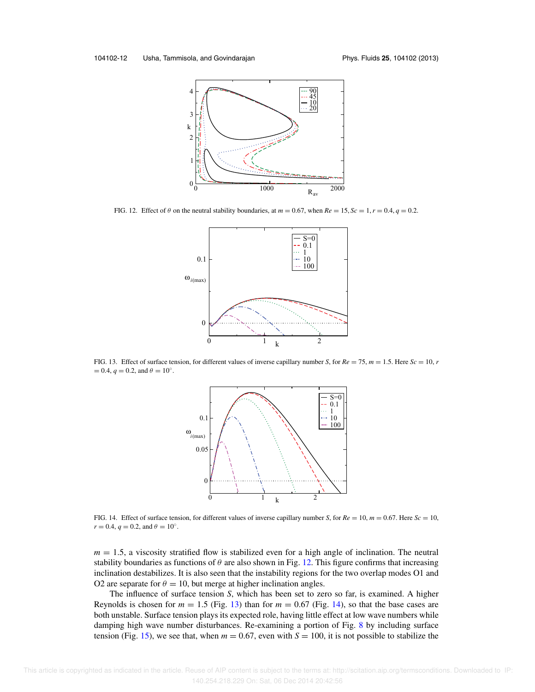

FIG. 12. Effect of  $\theta$  on the neutral stability boundaries, at  $m = 0.67$ , when  $Re = 15$ ,  $Sc = 1$ ,  $r = 0.4$ ,  $q = 0.2$ .



FIG. 13. Effect of surface tension, for different values of inverse capillary number *S*, for  $Re = 75$ ,  $m = 1.5$ . Here  $Sc = 10$ , *r*  $= 0.4, q = 0.2, \text{ and } \theta = 10^{\circ}.$ 



FIG. 14. Effect of surface tension, for different values of inverse capillary number *S*, for  $Re = 10$ ,  $m = 0.67$ . Here  $Sc = 10$ ,  $r = 0.4$ ,  $q = 0.2$ , and  $\theta = 10^\circ$ .

 $m = 1.5$ , a viscosity stratified flow is stabilized even for a high angle of inclination. The neutral stability boundaries as functions of  $\theta$  are also shown in Fig. 12. This figure confirms that increasing inclination destabilizes. It is also seen that the instability regions for the two overlap modes O1 and O2 are separate for  $\theta = 10$ , but merge at higher inclination angles.

The influence of surface tension *S*, which has been set to zero so far, is examined. A higher Reynolds is chosen for  $m = 1.5$  (Fig. 13) than for  $m = 0.67$  (Fig. 14), so that the base cases are both unstable. Surface tension plays its expected role, having little effect at low wave numbers while damping high wave number disturbances. Re-examining a portion of Fig. 8 by including surface tension (Fig. 15), we see that, when  $m = 0.67$ , even with  $S = 100$ , it is not possible to stabilize the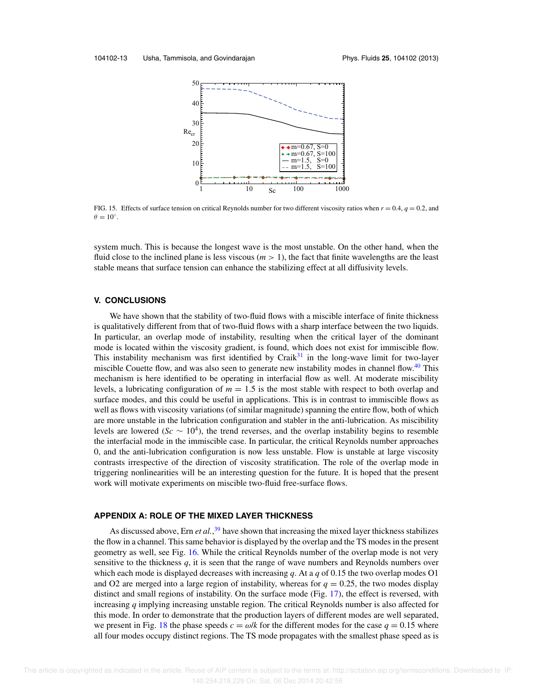

FIG. 15. Effects of surface tension on critical Reynolds number for two different viscosity ratios when  $r = 0.4$ ,  $q = 0.2$ , and  $\theta = 10^{\circ}$ .

system much. This is because the longest wave is the most unstable. On the other hand, when the fluid close to the inclined plane is less viscous  $(m > 1)$ , the fact that finite wavelengths are the least stable means that surface tension can enhance the stabilizing effect at all diffusivity levels.

#### **V. CONCLUSIONS**

We have shown that the stability of two-fluid flows with a miscible interface of finite thickness is qualitatively different from that of two-fluid flows with a sharp interface between the two liquids. In particular, an overlap mode of instability, resulting when the critical layer of the dominant mode is located within the viscosity gradient, is found, which does not exist for immiscible flow. This instability mechanism was first identified by  $Crai<sup>31</sup>$  in the long-wave limit for two-layer miscible Couette flow, and was also seen to generate new instability modes in channel flow.<sup>40</sup> This mechanism is here identified to be operating in interfacial flow as well. At moderate miscibility levels, a lubricating configuration of  $m = 1.5$  is the most stable with respect to both overlap and surface modes, and this could be useful in applications. This is in contrast to immiscible flows as well as flows with viscosity variations (of similar magnitude) spanning the entire flow, both of which are more unstable in the lubrication configuration and stabler in the anti-lubrication. As miscibility levels are lowered ( $Sc \sim 10^4$ ), the trend reverses, and the overlap instability begins to resemble the interfacial mode in the immiscible case. In particular, the critical Reynolds number approaches 0, and the anti-lubrication configuration is now less unstable. Flow is unstable at large viscosity contrasts irrespective of the direction of viscosity stratification. The role of the overlap mode in triggering nonlinearities will be an interesting question for the future. It is hoped that the present work will motivate experiments on miscible two-fluid free-surface flows.

#### **APPENDIX A: ROLE OF THE MIXED LAYER THICKNESS**

As discussed above, Ern *et al.*,<sup>39</sup> have shown that increasing the mixed layer thickness stabilizes the flow in a channel. This same behavior is displayed by the overlap and the TS modes in the present geometry as well, see Fig. 16. While the critical Reynolds number of the overlap mode is not very sensitive to the thickness *q*, it is seen that the range of wave numbers and Reynolds numbers over which each mode is displayed decreases with increasing *q*. At a *q* of 0.15 the two overlap modes O1 and O2 are merged into a large region of instability, whereas for  $q = 0.25$ , the two modes display distinct and small regions of instability. On the surface mode (Fig. 17), the effect is reversed, with increasing *q* implying increasing unstable region. The critical Reynolds number is also affected for this mode. In order to demonstrate that the production layers of different modes are well separated, we present in Fig. 18 the phase speeds  $c = \omega/k$  for the different modes for the case  $q = 0.15$  where all four modes occupy distinct regions. The TS mode propagates with the smallest phase speed as is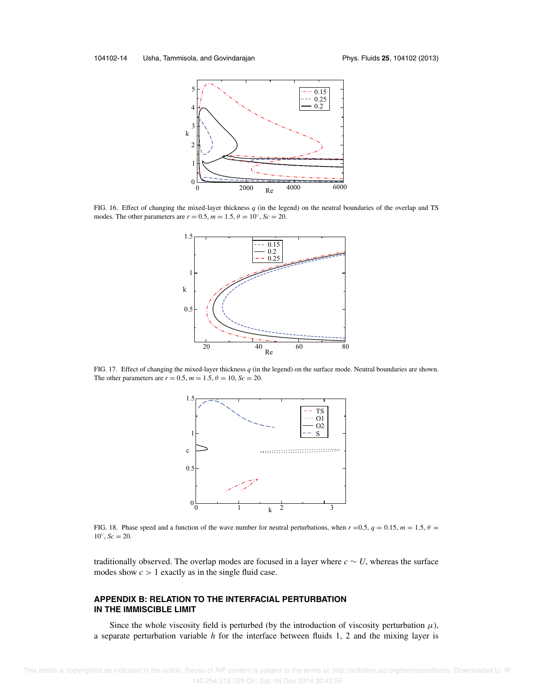

FIG. 16. Effect of changing the mixed-layer thickness *q* (in the legend) on the neutral boundaries of the overlap and TS modes. The other parameters are  $r = 0.5$ ,  $m = 1.5$ ,  $\theta = 10^\circ$ ,  $Sc = 20$ .



FIG. 17. Effect of changing the mixed-layer thickness *q* (in the legend) on the surface mode. Neutral boundaries are shown. The other parameters are  $r = 0.5$ ,  $m = 1.5$ ,  $\theta = 10$ ,  $Sc = 20$ .



FIG. 18. Phase speed and a function of the wave number for neutral perturbations, when  $r = 0.5$ ,  $q = 0.15$ ,  $m = 1.5$ ,  $\theta =$  $10^{\circ}$ ,  $Sc = 20$ .

traditionally observed. The overlap modes are focused in a layer where  $c \sim U$ , whereas the surface modes show  $c > 1$  exactly as in the single fluid case.

### **APPENDIX B: RELATION TO THE INTERFACIAL PERTURBATION IN THE IMMISCIBLE LIMIT**

Since the whole viscosity field is perturbed (by the introduction of viscosity perturbation  $\mu$ ), a separate perturbation variable *h* for the interface between fluids 1, 2 and the mixing layer is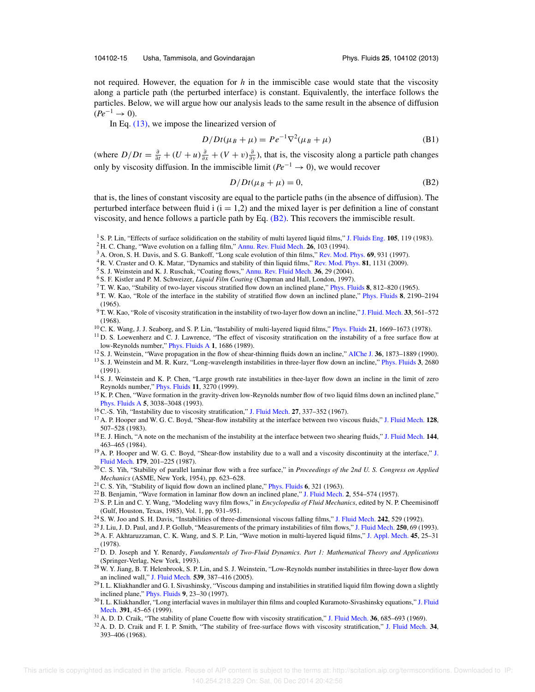not required. However, the equation for *h* in the immiscible case would state that the viscosity along a particle path (the perturbed interface) is constant. Equivalently, the interface follows the particles. Below, we will argue how our analysis leads to the same result in the absence of diffusion  $(Pe^{-1} → 0)$ .

In Eq. (13), we impose the linearized version of

$$
D/Dt(\mu_B + \mu) = Pe^{-1}\nabla^2(\mu_B + \mu)
$$
 (B1)

(where  $D/Dt = \frac{\partial}{\partial t} + (U + u)\frac{\partial}{\partial x} + (V + v)\frac{\partial}{\partial y}$ ), that is, the viscosity along a particle path changes only by viscosity diffusion. In the immiscible limit ( $Pe^{-1} \rightarrow 0$ ), we would recover

$$
D/Dt(\mu_B + \mu) = 0,\t\t(B2)
$$

that is, the lines of constant viscosity are equal to the particle paths (in the absence of diffusion). The perturbed interface between fluid  $i$   $(i = 1,2)$  and the mixed layer is per definition a line of constant viscosity, and hence follows a particle path by Eq.  $(B2)$ . This recovers the immiscible result.

<sup>1</sup> S. P. Lin, "Effects of surface solidification on the stability of multi layered liquid films," J. Fluids Eng. **105**, 119 (1983).

<sup>3</sup> A. Oron, S. H. Davis, and S. G. Bankoff, "Long scale evolution of thin films," Rev. Mod. Phys. **69**, 931 (1997).

<sup>4</sup>R. V. Craster and O. K. Matar, "Dynamics and stability of thin liquid films," Rev. Mod. Phys. **81**, 1131 (2009).

<sup>5</sup> S. J. Weinstein and K. J. Ruschak, "Coating flows," Annu. Rev. Fluid Mech. **36**, 29 (2004).

<sup>6</sup> S. F. Kistler and P. M. Schweizer, *Liquid Film Coating* (Chapman and Hall, London, 1997).

- <sup>7</sup> T. W. Kao, "Stability of two-layer viscous stratified flow down an inclined plane," Phys. Fluids **8**, 812–820 (1965).
- <sup>8</sup> T. W. Kao, "Role of the interface in the stability of stratified flow down an inclined plane," Phys. Fluids **8**, 2190–2194 (1965).
- <sup>9</sup> T. W. Kao, "Role of viscosity stratification in the instability of two-layer flow down an incline," J. Fluid. Mech. **33**, 561–572 (1968).
- <sup>10</sup>C. K. Wang, J. J. Seaborg, and S. P. Lin, "Instability of multi-layered liquid films," Phys. Fluids **21**, 1669–1673 (1978).
- $11$  D. S. Loewenherz and C. J. Lawrence, "The effect of viscosity stratification on the instability of a free surface flow at low-Reynolds number," Phys. Fluids A **1**, 1686 (1989).
- <sup>12</sup> S. J. Weinstein, "Wave propagation in the flow of shear-thinning fluids down an incline," AIChe J. **36**, 1873–1889 (1990).
- <sup>13</sup> S. J. Weinstein and M. R. Kurz, "Long-wavelength instabilities in three-layer flow down an incline," Phys. Fluids **3**, 2680 (1991).
- <sup>14</sup> S. J. Weinstein and K. P. Chen, "Large growth rate instabilities in thee-layer flow down an incline in the limit of zero Reynolds number," Phys. Fluids **11**, 3270 (1999).
- <sup>15</sup> K. P. Chen, "Wave formation in the gravity-driven low-Reynolds number flow of two liquid films down an inclined plane," Phys. Fluids A **5**, 3038–3048 (1993).
- <sup>16</sup>C.-S. Yih, "Instability due to viscosity stratification," J. Fluid Mech. **27**, 337–352 (1967).
- <sup>17</sup> A. P. Hooper and W. G. C. Boyd, "Shear-flow instability at the interface between two viscous fluids," J. Fluid Mech. **128**, 507–528 (1983).
- <sup>18</sup> E. J. Hinch, "A note on the mechanism of the instability at the interface between two shearing fluids," J. Fluid Mech. **144**, 463–465 (1984).
- <sup>19</sup> A. P. Hooper and W. G. C. Boyd, "Shear-flow instability due to a wall and a viscosity discontinuity at the interface," J. Fluid Mech. **179**, 201–225 (1987).
- <sup>20</sup>C. S. Yih, "Stability of parallel laminar flow with a free surface," in *Proceedings of the 2nd U. S. Congress on Applied Mechanics* (ASME, New York, 1954), pp. 623–628.
- <sup>21</sup>C. S. Yih, "Stability of liquid flow down an inclined plane," Phys. Fluids **6**, 321 (1963).
- <sup>22</sup>B. Benjamin, "Wave formation in laminar flow down an inclined plane," J. Fluid Mech. **2**, 554–574 (1957).
- <sup>23</sup> S. P. Lin and C. Y. Wang, "Modeling wavy film flows," in *Encyclopedia of Fluid Mechanics*, edited by N. P. Cheemisinoff (Gulf, Houston, Texas, 1985), Vol. 1, pp. 931–951.
- <sup>24</sup> S. W. Joo and S. H. Davis, "Instabilities of three-dimensional viscous falling films," J. Fluid Mech. **242**, 529 (1992).
- <sup>25</sup> J. Liu, J. D. Paul, and J. P. Gollub, "Measurements of the primary instabilities of film flows," J. Fluid Mech. **250**, 69 (1993).
- <sup>26</sup> A. F. Akhtaruzzaman, C. K. Wang, and S. P. Lin, "Wave motion in multi-layered liquid films," J. Appl. Mech. **45**, 25–31 (1978).
- <sup>27</sup> D. D. Joseph and Y. Renardy, *Fundamentals of Two-Fluid Dynamics. Part 1: Mathematical Theory and Applications* (Springer-Verlag, New York, 1993).
- $^{28}$  W. Y. Jiang, B. T. Helenbrook, S. P. Lin, and S. J. Weinstein, "Low-Reynolds number instabilities in three-layer flow down an inclined wall," J. Fluid Mech. **539**, 387–416 (2005).
- $29$  I. L. Kliakhandler and G. I. Sivashinsky, "Viscous damping and instabilities in stratified liquid film flowing down a slightly inclined plane," Phys. Fluids **9**, 23–30 (1997).
- <sup>30</sup> I. L. Kliakhandler, "Long interfacial waves in multilayer thin films and coupled Kuramoto-Sivashinsky equations," J. Fluid Mech. **391**, 45–65 (1999).
- <sup>31</sup> A. D. D. Craik, "The stability of plane Couette flow with viscosity stratification," J. Fluid Mech. **36**, 685–693 (1969).
- <sup>32</sup> A. D. D. Craik and F. I. P. Smith, "The stability of free-surface flows with viscosity stratification," J. Fluid Mech. **34**, 393–406 (1968).

<sup>2</sup> H. C. Chang, "Wave evolution on a falling film," Annu. Rev. Fluid Mech. **26**, 103 (1994).